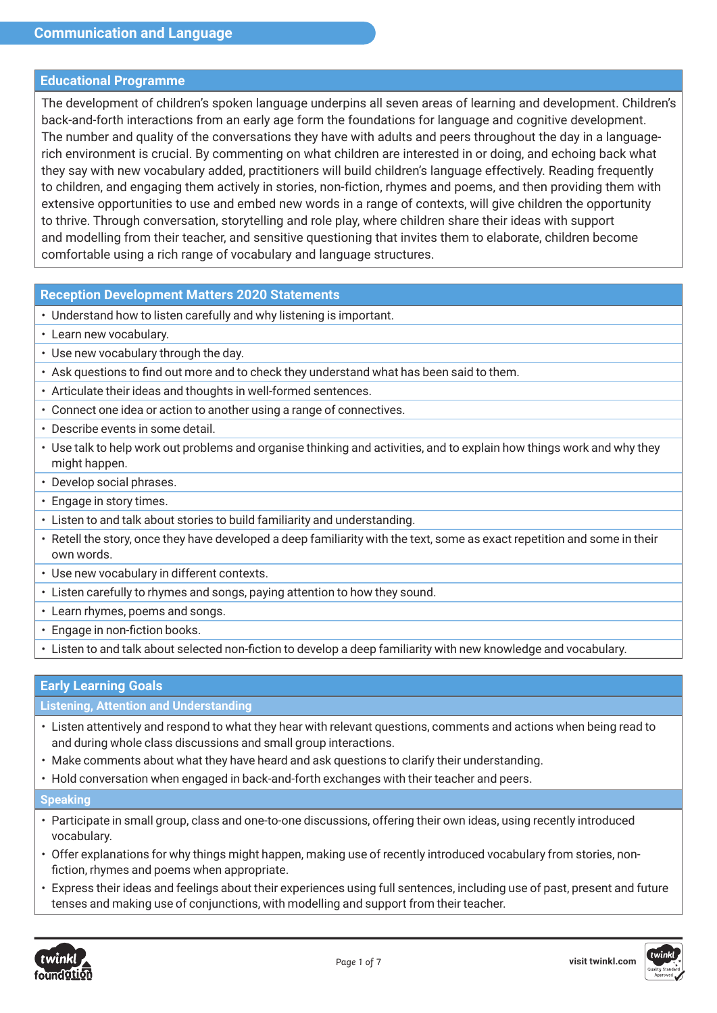The development of children's spoken language underpins all seven areas of learning and development. Children's back-and-forth interactions from an early age form the foundations for language and cognitive development. The number and quality of the conversations they have with adults and peers throughout the day in a languagerich environment is crucial. By commenting on what children are interested in or doing, and echoing back what they say with new vocabulary added, practitioners will build children's language effectively. Reading frequently to children, and engaging them actively in stories, non-fiction, rhymes and poems, and then providing them with extensive opportunities to use and embed new words in a range of contexts, will give children the opportunity to thrive. Through conversation, storytelling and role play, where children share their ideas with support and modelling from their teacher, and sensitive questioning that invites them to elaborate, children become comfortable using a rich range of vocabulary and language structures.

# **Reception Development Matters 2020 Statements**

- Understand how to listen carefully and why listening is important.
- Learn new vocabulary.
- Use new vocabulary through the day.
- Ask questions to find out more and to check they understand what has been said to them.
- Articulate their ideas and thoughts in well-formed sentences.
- Connect one idea or action to another using a range of connectives.
- Describe events in some detail.
- Use talk to help work out problems and organise thinking and activities, and to explain how things work and why they might happen.
- Develop social phrases.
- Engage in story times.
- Listen to and talk about stories to build familiarity and understanding.
- Retell the story, once they have developed a deep familiarity with the text, some as exact repetition and some in their own words.
- Use new vocabulary in different contexts.
- Listen carefully to rhymes and songs, paying attention to how they sound.
- Learn rhymes, poems and songs.
- Engage in non-fiction books.
- Listen to and talk about selected non-fiction to develop a deep familiarity with new knowledge and vocabulary.

## **Early Learning Goals**

### **Listening, Attention and Understanding**

- Listen attentively and respond to what they hear with relevant questions, comments and actions when being read to and during whole class discussions and small group interactions.
- Make comments about what they have heard and ask questions to clarify their understanding.
- Hold conversation when engaged in back-and-forth exchanges with their teacher and peers.

# **Speaking**

- Participate in small group, class and one-to-one discussions, offering their own ideas, using recently introduced vocabulary.
- Offer explanations for why things might happen, making use of recently introduced vocabulary from stories, nonfiction, rhymes and poems when appropriate.
- Express their ideas and feelings about their experiences using full sentences, including use of past, present and future tenses and making use of conjunctions, with modelling and support from their teacher.



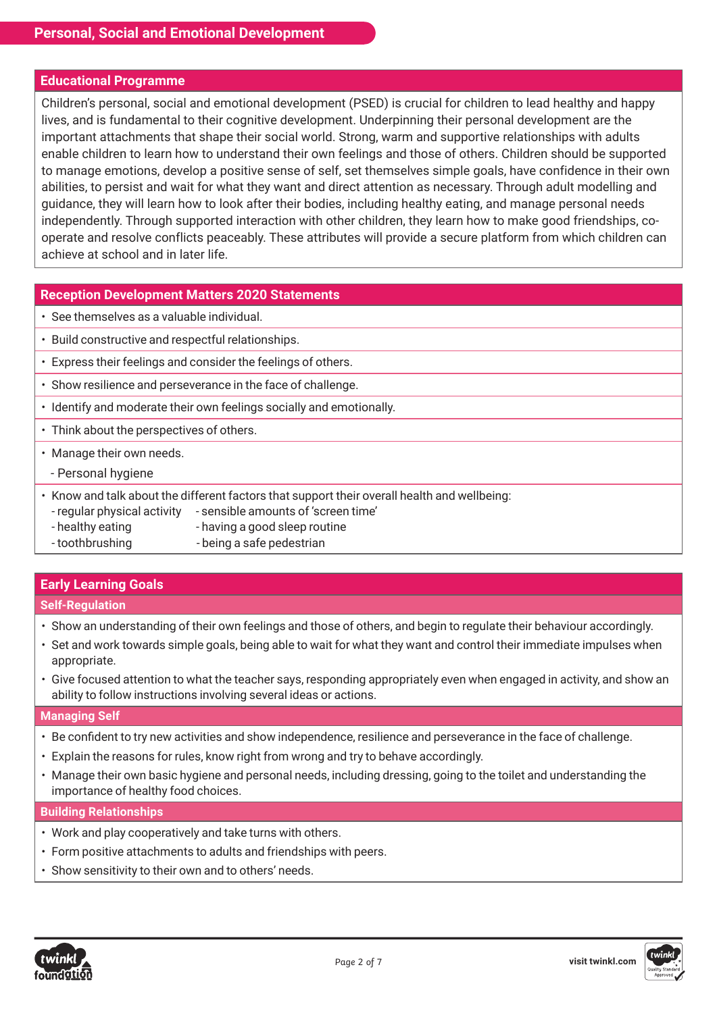Children's personal, social and emotional development (PSED) is crucial for children to lead healthy and happy lives, and is fundamental to their cognitive development. Underpinning their personal development are the important attachments that shape their social world. Strong, warm and supportive relationships with adults enable children to learn how to understand their own feelings and those of others. Children should be supported to manage emotions, develop a positive sense of self, set themselves simple goals, have confidence in their own abilities, to persist and wait for what they want and direct attention as necessary. Through adult modelling and guidance, they will learn how to look after their bodies, including healthy eating, and manage personal needs independently. Through supported interaction with other children, they learn how to make good friendships, cooperate and resolve conflicts peaceably. These attributes will provide a secure platform from which children can achieve at school and in later life.

# **Reception Development Matters 2020 Statements**

- See themselves as a valuable individual.
- Build constructive and respectful relationships.
- Express their feelings and consider the feelings of others.
- Show resilience and perseverance in the face of challenge.
- Identify and moderate their own feelings socially and emotionally.
- Think about the perspectives of others.
- Manage their own needs.
	- Personal hygiene
- Know and talk about the different factors that support their overall health and wellbeing:
- regular physical activity sensible amounts of 'screen time'
- 
- healthy eating extending the having a good sleep routine
- toothbrushing change is being a safe pedestrian

## **Early Learning Goals**

**Self-Regulation**

- Show an understanding of their own feelings and those of others, and begin to regulate their behaviour accordingly.
- Set and work towards simple goals, being able to wait for what they want and control their immediate impulses when appropriate.
- Give focused attention to what the teacher says, responding appropriately even when engaged in activity, and show an ability to follow instructions involving several ideas or actions.

#### **Managing Self**

- Be confident to try new activities and show independence, resilience and perseverance in the face of challenge.
- Explain the reasons for rules, know right from wrong and try to behave accordingly.
- Manage their own basic hygiene and personal needs, including dressing, going to the toilet and understanding the importance of healthy food choices.

# **Building Relationships**

- Work and play cooperatively and take turns with others.
- Form positive attachments to adults and friendships with peers.
- Show sensitivity to their own and to others' needs.



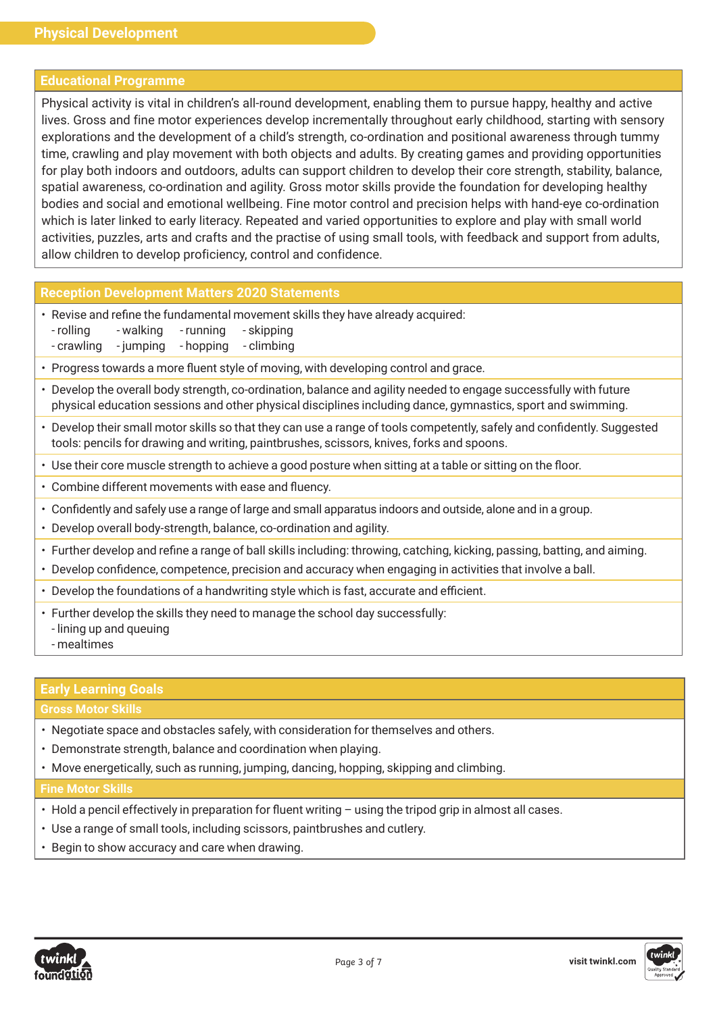Physical activity is vital in children's all-round development, enabling them to pursue happy, healthy and active lives. Gross and fine motor experiences develop incrementally throughout early childhood, starting with sensory explorations and the development of a child's strength, co-ordination and positional awareness through tummy time, crawling and play movement with both objects and adults. By creating games and providing opportunities for play both indoors and outdoors, adults can support children to develop their core strength, stability, balance, spatial awareness, co-ordination and agility. Gross motor skills provide the foundation for developing healthy bodies and social and emotional wellbeing. Fine motor control and precision helps with hand-eye co-ordination which is later linked to early literacy. Repeated and varied opportunities to explore and play with small world activities, puzzles, arts and crafts and the practise of using small tools, with feedback and support from adults, allow children to develop proficiency, control and confidence.

#### **Reception Development Matters 2020 Statements**

- Revise and refine the fundamental movement skills they have already acquired:
- rolling walking running skipping
- crawling jumping hopping climbing
- Progress towards a more fluent style of moving, with developing control and grace.
- Develop the overall body strength, co-ordination, balance and agility needed to engage successfully with future physical education sessions and other physical disciplines including dance, gymnastics, sport and swimming.
- Develop their small motor skills so that they can use a range of tools competently, safely and confidently. Suggested tools: pencils for drawing and writing, paintbrushes, scissors, knives, forks and spoons.
- Use their core muscle strength to achieve a good posture when sitting at a table or sitting on the floor.
- Combine different movements with ease and fluency.
- Confidently and safely use a range of large and small apparatus indoors and outside, alone and in a group.
- Develop overall body-strength, balance, co-ordination and agility.
- Further develop and refine a range of ball skills including: throwing, catching, kicking, passing, batting, and aiming.
- Develop confidence, competence, precision and accuracy when engaging in activities that involve a ball.
- Develop the foundations of a handwriting style which is fast, accurate and efficient.
- Further develop the skills they need to manage the school day successfully: - lining up and queuing
	- mealtimes

## **Early Learning Goals**

#### **Gross Motor Skills**

- Negotiate space and obstacles safely, with consideration for themselves and others.
- Demonstrate strength, balance and coordination when playing.
- Move energetically, such as running, jumping, dancing, hopping, skipping and climbing.

#### **Fine Motor Skills**

- Hold a pencil effectively in preparation for fluent writing using the tripod grip in almost all cases.
- Use a range of small tools, including scissors, paintbrushes and cutlery.
- Begin to show accuracy and care when drawing.



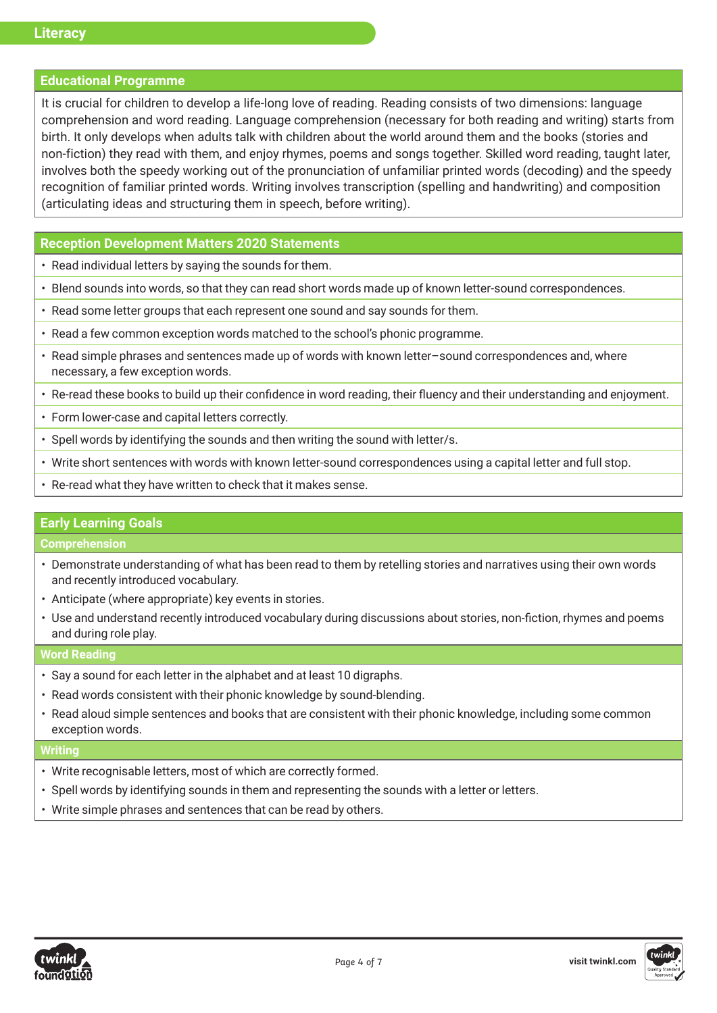It is crucial for children to develop a life-long love of reading. Reading consists of two dimensions: language comprehension and word reading. Language comprehension (necessary for both reading and writing) starts from birth. It only develops when adults talk with children about the world around them and the books (stories and non-fiction) they read with them, and enjoy rhymes, poems and songs together. Skilled word reading, taught later, involves both the speedy working out of the pronunciation of unfamiliar printed words (decoding) and the speedy recognition of familiar printed words. Writing involves transcription (spelling and handwriting) and composition (articulating ideas and structuring them in speech, before writing).

# **Reception Development Matters 2020 Statements**

- Read individual letters by saying the sounds for them.
- Blend sounds into words, so that they can read short words made up of known letter-sound correspondences.
- Read some letter groups that each represent one sound and say sounds for them.
- Read a few common exception words matched to the school's phonic programme.
- Read simple phrases and sentences made up of words with known letter–sound correspondences and, where necessary, a few exception words.
- Re-read these books to build up their confidence in word reading, their fluency and their understanding and enjoyment.
- Form lower-case and capital letters correctly.
- Spell words by identifying the sounds and then writing the sound with letter/s.
- Write short sentences with words with known letter-sound correspondences using a capital letter and full stop.
- Re-read what they have written to check that it makes sense.

## **Early Learning Goals**

**Comprehension**

- Demonstrate understanding of what has been read to them by retelling stories and narratives using their own words and recently introduced vocabulary.
- Anticipate (where appropriate) key events in stories.
- Use and understand recently introduced vocabulary during discussions about stories, non-fiction, rhymes and poems and during role play.

#### **Word Reading**

- Say a sound for each letter in the alphabet and at least 10 digraphs.
- Read words consistent with their phonic knowledge by sound-blending.
- Read aloud simple sentences and books that are consistent with their phonic knowledge, including some common exception words.

#### **Writing**

- Write recognisable letters, most of which are correctly formed.
- Spell words by identifying sounds in them and representing the sounds with a letter or letters.
- Write simple phrases and sentences that can be read by others.

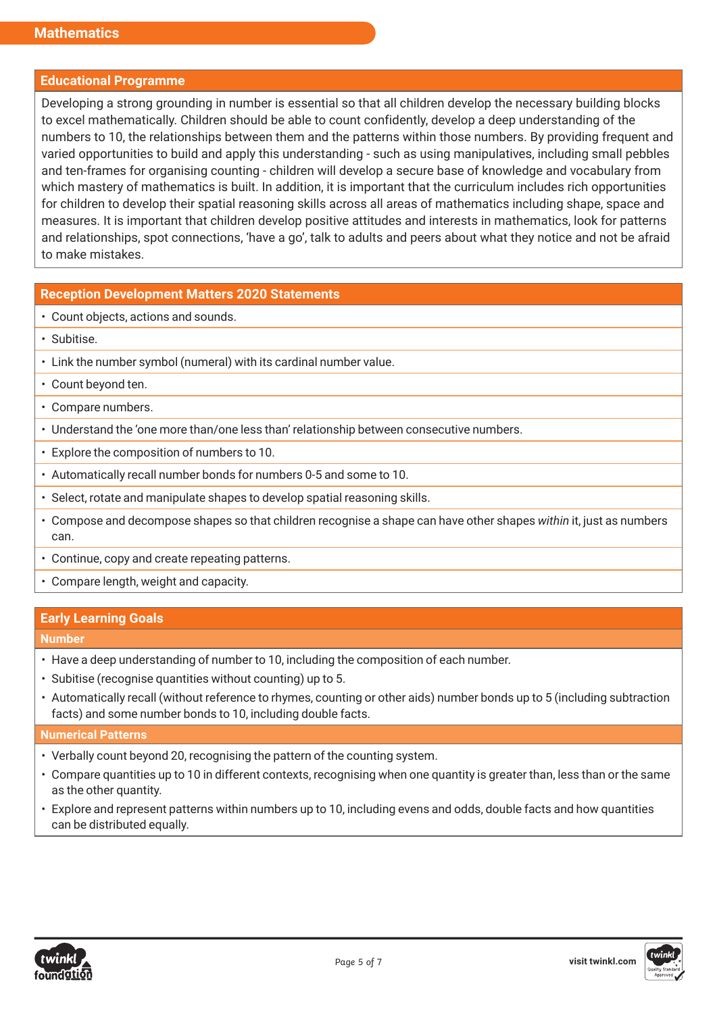Developing a strong grounding in number is essential so that all children develop the necessary building blocks to excel mathematically. Children should be able to count confidently, develop a deep understanding of the numbers to 10, the relationships between them and the patterns within those numbers. By providing frequent and varied opportunities to build and apply this understanding - such as using manipulatives, including small pebbles and ten-frames for organising counting - children will develop a secure base of knowledge and vocabulary from which mastery of mathematics is built. In addition, it is important that the curriculum includes rich opportunities for children to develop their spatial reasoning skills across all areas of mathematics including shape, space and measures. It is important that children develop positive attitudes and interests in mathematics, look for patterns and relationships, spot connections, 'have a go', talk to adults and peers about what they notice and not be afraid to make mistakes.

# **Reception Development Matters 2020 Statements**

- Count objects, actions and sounds.
- Subitise.
- Link the number symbol (numeral) with its cardinal number value.
- Count beyond ten.
- Compare numbers.
- Understand the 'one more than/one less than' relationship between consecutive numbers.
- Explore the composition of numbers to 10.
- Automatically recall number bonds for numbers 0-5 and some to 10.
- Select, rotate and manipulate shapes to develop spatial reasoning skills.
- Compose and decompose shapes so that children recognise a shape can have other shapes *within* it, just as numbers can.
- Continue, copy and create repeating patterns.
- Compare length, weight and capacity.

# **Early Learning Goals**

#### **Number**

- Have a deep understanding of number to 10, including the composition of each number.
- Subitise (recognise quantities without counting) up to 5.
- Automatically recall (without reference to rhymes, counting or other aids) number bonds up to 5 (including subtraction facts) and some number bonds to 10, including double facts.

# **Numerical Patterns**

- Verbally count beyond 20, recognising the pattern of the counting system.
- Compare quantities up to 10 in different contexts, recognising when one quantity is greater than, less than or the same as the other quantity.
- Explore and represent patterns within numbers up to 10, including evens and odds, double facts and how quantities can be distributed equally.



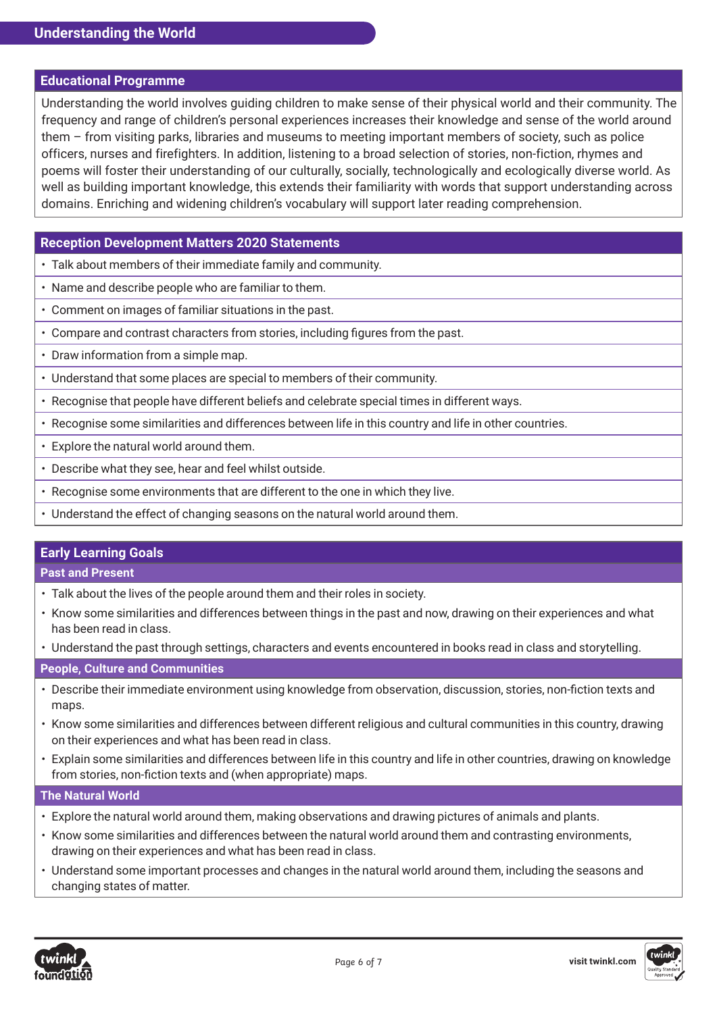Understanding the world involves guiding children to make sense of their physical world and their community. The frequency and range of children's personal experiences increases their knowledge and sense of the world around them – from visiting parks, libraries and museums to meeting important members of society, such as police officers, nurses and firefighters. In addition, listening to a broad selection of stories, non-fiction, rhymes and poems will foster their understanding of our culturally, socially, technologically and ecologically diverse world. As well as building important knowledge, this extends their familiarity with words that support understanding across domains. Enriching and widening children's vocabulary will support later reading comprehension.

### **Reception Development Matters 2020 Statements**

- Talk about members of their immediate family and community.
- Name and describe people who are familiar to them.
- Comment on images of familiar situations in the past.
- Compare and contrast characters from stories, including figures from the past.
- Draw information from a simple map.
- Understand that some places are special to members of their community.
- Recognise that people have different beliefs and celebrate special times in different ways.
- Recognise some similarities and differences between life in this country and life in other countries.
- Explore the natural world around them.
- Describe what they see, hear and feel whilst outside.
- Recognise some environments that are different to the one in which they live.
- Understand the effect of changing seasons on the natural world around them.

## **Early Learning Goals**

# **Past and Present**

- Talk about the lives of the people around them and their roles in society.
- Know some similarities and differences between things in the past and now, drawing on their experiences and what has been read in class.
- Understand the past through settings, characters and events encountered in books read in class and storytelling.

#### **People, Culture and Communities**

- Describe their immediate environment using knowledge from observation, discussion, stories, non-fiction texts and maps.
- Know some similarities and differences between different religious and cultural communities in this country, drawing on their experiences and what has been read in class.
- Explain some similarities and differences between life in this country and life in other countries, drawing on knowledge from stories, non-fiction texts and (when appropriate) maps.

## **The Natural World**

- Explore the natural world around them, making observations and drawing pictures of animals and plants.
- Know some similarities and differences between the natural world around them and contrasting environments, drawing on their experiences and what has been read in class.
- Understand some important processes and changes in the natural world around them, including the seasons and changing states of matter.